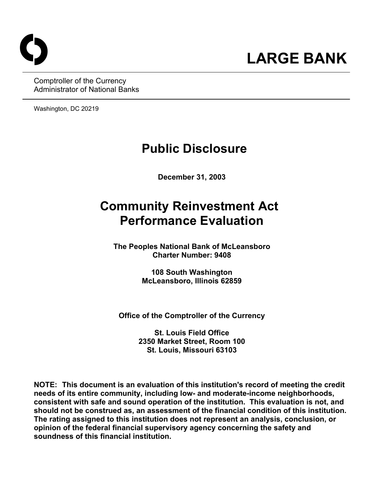

Comptroller of the Currency Administrator of National Banks

Washington, DC 20219

# **Public Disclosure**

**December 31, 2003** 

# **Community Reinvestment Act Performance Evaluation**

**The Peoples National Bank of McLeansboro Charter Number: 9408** 

> **108 South Washington McLeansboro, Illinois 62859**

**Office of the Comptroller of the Currency** 

**St. Louis Field Office 2350 Market Street, Room 100 St. Louis, Missouri 63103** 

**NOTE: This document is an evaluation of this institution's record of meeting the credit needs of its entire community, including low- and moderate-income neighborhoods, consistent with safe and sound operation of the institution.****This evaluation is not, and should not be construed as, an assessment of the financial condition of this institution. The rating assigned to this institution does not represent an analysis, conclusion, or opinion of the federal financial supervisory agency concerning the safety and soundness of this financial institution.**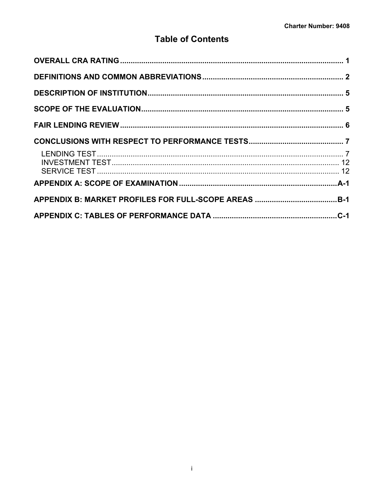## **Table of Contents**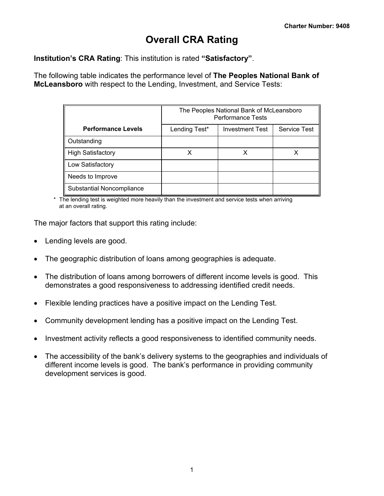## **Overall CRA Rating**

<span id="page-2-0"></span>**Institution's CRA Rating**: This institution is rated **"Satisfactory"**.

The following table indicates the performance level of **The Peoples National Bank of McLeansboro** with respect to the Lending, Investment, and Service Tests:

|                           |               | The Peoples National Bank of McLeansboro<br><b>Performance Tests</b> |                     |
|---------------------------|---------------|----------------------------------------------------------------------|---------------------|
| <b>Performance Levels</b> | Lending Test* | <b>Investment Test</b>                                               | <b>Service Test</b> |
| Outstanding               |               |                                                                      |                     |
| <b>High Satisfactory</b>  |               |                                                                      |                     |
| Low Satisfactory          |               |                                                                      |                     |
| Needs to Improve          |               |                                                                      |                     |
| Substantial Noncompliance |               |                                                                      |                     |

\* The lending test is weighted more heavily than the investment and service tests when arriving at an overall rating.

The major factors that support this rating include:

- Lending levels are good.
- The geographic distribution of loans among geographies is adequate.
- The distribution of loans among borrowers of different income levels is good. This demonstrates a good responsiveness to addressing identified credit needs.
- Flexible lending practices have a positive impact on the Lending Test.
- Community development lending has a positive impact on the Lending Test.
- Investment activity reflects a good responsiveness to identified community needs.
- The accessibility of the bank's delivery systems to the geographies and individuals of different income levels is good. The bank's performance in providing community development services is good.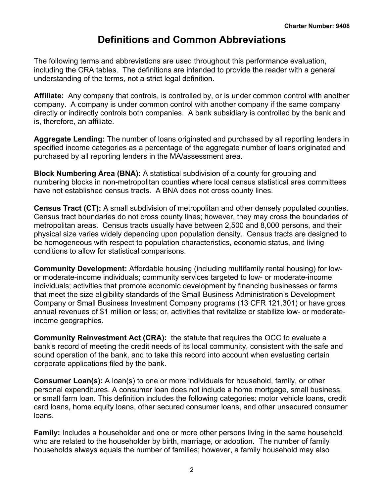## **Definitions and Common Abbreviations**

<span id="page-3-0"></span>The following terms and abbreviations are used throughout this performance evaluation, including the CRA tables. The definitions are intended to provide the reader with a general understanding of the terms, not a strict legal definition.

**Affiliate:** Any company that controls, is controlled by, or is under common control with another company. A company is under common control with another company if the same company directly or indirectly controls both companies. A bank subsidiary is controlled by the bank and is, therefore, an affiliate.

**Aggregate Lending:** The number of loans originated and purchased by all reporting lenders in specified income categories as a percentage of the aggregate number of loans originated and purchased by all reporting lenders in the MA/assessment area.

**Block Numbering Area (BNA):** A statistical subdivision of a county for grouping and numbering blocks in non-metropolitan counties where local census statistical area committees have not established census tracts. A BNA does not cross county lines.

**Census Tract (CT):** A small subdivision of metropolitan and other densely populated counties. Census tract boundaries do not cross county lines; however, they may cross the boundaries of metropolitan areas. Census tracts usually have between 2,500 and 8,000 persons, and their physical size varies widely depending upon population density. Census tracts are designed to be homogeneous with respect to population characteristics, economic status, and living conditions to allow for statistical comparisons.

**Community Development:** Affordable housing (including multifamily rental housing) for lowor moderate-income individuals; community services targeted to low- or moderate-income individuals; activities that promote economic development by financing businesses or farms that meet the size eligibility standards of the Small Business Administration's Development Company or Small Business Investment Company programs (13 CFR 121.301) or have gross annual revenues of \$1 million or less; or, activities that revitalize or stabilize low- or moderateincome geographies.

**Community Reinvestment Act (CRA):** the statute that requires the OCC to evaluate a bank's record of meeting the credit needs of its local community, consistent with the safe and sound operation of the bank, and to take this record into account when evaluating certain corporate applications filed by the bank.

**Consumer Loan(s):** A loan(s) to one or more individuals for household, family, or other personal expenditures. A consumer loan does not include a home mortgage, small business, or small farm loan. This definition includes the following categories: motor vehicle loans, credit card loans, home equity loans, other secured consumer loans, and other unsecured consumer loans.

**Family:** Includes a householder and one or more other persons living in the same household who are related to the householder by birth, marriage, or adoption. The number of family households always equals the number of families; however, a family household may also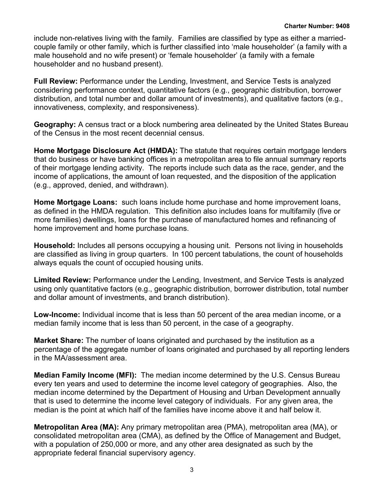include non-relatives living with the family. Families are classified by type as either a marriedcouple family or other family, which is further classified into 'male householder' (a family with a male household and no wife present) or 'female householder' (a family with a female householder and no husband present).

**Full Review:** Performance under the Lending, Investment, and Service Tests is analyzed considering performance context, quantitative factors (e.g., geographic distribution, borrower distribution, and total number and dollar amount of investments), and qualitative factors (e.g., innovativeness, complexity, and responsiveness).

**Geography:** A census tract or a block numbering area delineated by the United States Bureau of the Census in the most recent decennial census.

**Home Mortgage Disclosure Act (HMDA):** The statute that requires certain mortgage lenders that do business or have banking offices in a metropolitan area to file annual summary reports of their mortgage lending activity. The reports include such data as the race, gender, and the income of applications, the amount of loan requested, and the disposition of the application (e.g., approved, denied, and withdrawn).

**Home Mortgage Loans:** such loans include home purchase and home improvement loans, as defined in the HMDA regulation. This definition also includes loans for multifamily (five or more families) dwellings, loans for the purchase of manufactured homes and refinancing of home improvement and home purchase loans.

**Household:** Includes all persons occupying a housing unit. Persons not living in households are classified as living in group quarters. In 100 percent tabulations, the count of households always equals the count of occupied housing units.

**Limited Review:** Performance under the Lending, Investment, and Service Tests is analyzed using only quantitative factors (e.g., geographic distribution, borrower distribution, total number and dollar amount of investments, and branch distribution).

**Low-Income:** Individual income that is less than 50 percent of the area median income, or a median family income that is less than 50 percent, in the case of a geography.

**Market Share:** The number of loans originated and purchased by the institution as a percentage of the aggregate number of loans originated and purchased by all reporting lenders in the MA/assessment area.

**Median Family Income (MFI):** The median income determined by the U.S. Census Bureau every ten years and used to determine the income level category of geographies. Also, the median income determined by the Department of Housing and Urban Development annually that is used to determine the income level category of individuals. For any given area, the median is the point at which half of the families have income above it and half below it.

**Metropolitan Area (MA):** Any primary metropolitan area (PMA), metropolitan area (MA), or consolidated metropolitan area (CMA), as defined by the Office of Management and Budget, with a population of 250,000 or more, and any other area designated as such by the appropriate federal financial supervisory agency.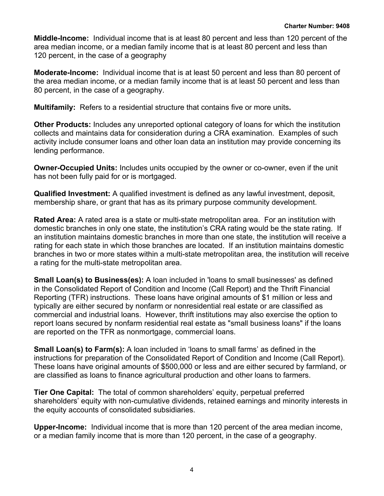**Middle-Income:** Individual income that is at least 80 percent and less than 120 percent of the area median income, or a median family income that is at least 80 percent and less than 120 percent, in the case of a geography

**Moderate-Income:** Individual income that is at least 50 percent and less than 80 percent of the area median income, or a median family income that is at least 50 percent and less than 80 percent, in the case of a geography.

**Multifamily:** Refers to a residential structure that contains five or more units**.**

**Other Products:** Includes any unreported optional category of loans for which the institution collects and maintains data for consideration during a CRA examination. Examples of such activity include consumer loans and other loan data an institution may provide concerning its lending performance.

**Owner-Occupied Units:** Includes units occupied by the owner or co-owner, even if the unit has not been fully paid for or is mortgaged.

**Qualified Investment:** A qualified investment is defined as any lawful investment, deposit, membership share, or grant that has as its primary purpose community development.

**Rated Area:** A rated area is a state or multi-state metropolitan area. For an institution with domestic branches in only one state, the institution's CRA rating would be the state rating. If an institution maintains domestic branches in more than one state, the institution will receive a rating for each state in which those branches are located. If an institution maintains domestic branches in two or more states within a multi-state metropolitan area, the institution will receive a rating for the multi-state metropolitan area.

**Small Loan(s) to Business(es):** A loan included in 'loans to small businesses' as defined in the Consolidated Report of Condition and Income (Call Report) and the Thrift Financial Reporting (TFR) instructions. These loans have original amounts of \$1 million or less and typically are either secured by nonfarm or nonresidential real estate or are classified as commercial and industrial loans. However, thrift institutions may also exercise the option to report loans secured by nonfarm residential real estate as "small business loans" if the loans are reported on the TFR as nonmortgage, commercial loans.

**Small Loan(s) to Farm(s):** A loan included in 'loans to small farms' as defined in the instructions for preparation of the Consolidated Report of Condition and Income (Call Report). These loans have original amounts of \$500,000 or less and are either secured by farmland, or are classified as loans to finance agricultural production and other loans to farmers.

**Tier One Capital:** The total of common shareholders' equity, perpetual preferred shareholders' equity with non-cumulative dividends, retained earnings and minority interests in the equity accounts of consolidated subsidiaries.

**Upper-Income:** Individual income that is more than 120 percent of the area median income, or a median family income that is more than 120 percent, in the case of a geography.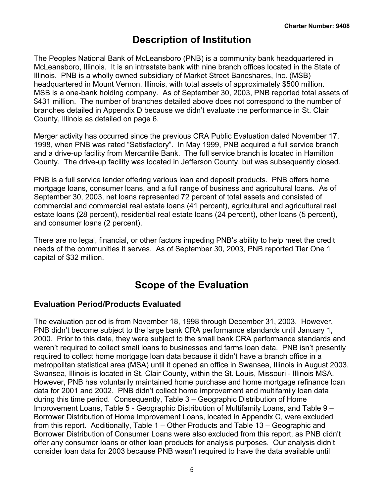## **Description of Institution**

<span id="page-6-0"></span>The Peoples National Bank of McLeansboro (PNB) is a community bank headquartered in McLeansboro, Illinois. It is an intrastate bank with nine branch offices located in the State of Illinois. PNB is a wholly owned subsidiary of Market Street Bancshares, Inc. (MSB) headquartered in Mount Vernon, Illinois, with total assets of approximately \$500 million. MSB is a one-bank holding company. As of September 30, 2003, PNB reported total assets of \$431 million. The number of branches detailed above does not correspond to the number of branches detailed in Appendix D because we didn't evaluate the performance in St. Clair County, Illinois as detailed on page 6.

Merger activity has occurred since the previous CRA Public Evaluation dated November 17, 1998, when PNB was rated "Satisfactory". In May 1999, PNB acquired a full service branch and a drive-up facility from Mercantile Bank. The full service branch is located in Hamilton County. The drive-up facility was located in Jefferson County, but was subsequently closed.

PNB is a full service lender offering various loan and deposit products. PNB offers home mortgage loans, consumer loans, and a full range of business and agricultural loans. As of September 30, 2003, net loans represented 72 percent of total assets and consisted of commercial and commercial real estate loans (41 percent), agricultural and agricultural real estate loans (28 percent), residential real estate loans (24 percent), other loans (5 percent), and consumer loans (2 percent).

There are no legal, financial, or other factors impeding PNB's ability to help meet the credit needs of the communities it serves. As of September 30, 2003, PNB reported Tier One 1 capital of \$32 million.

## **Scope of the Evaluation**

## **Evaluation Period/Products Evaluated**

The evaluation period is from November 18, 1998 through December 31, 2003. However, PNB didn't become subject to the large bank CRA performance standards until January 1, 2000. Prior to this date, they were subject to the small bank CRA performance standards and weren't required to collect small loans to businesses and farms loan data. PNB isn't presently required to collect home mortgage loan data because it didn't have a branch office in a metropolitan statistical area (MSA) until it opened an office in Swansea, Illinois in August 2003. Swansea, Illinois is located in St. Clair County, within the St. Louis, Missouri - Illinois MSA. However, PNB has voluntarily maintained home purchase and home mortgage refinance loan data for 2001 and 2002. PNB didn't collect home improvement and multifamily loan data during this time period. Consequently, Table 3 – Geographic Distribution of Home Improvement Loans, Table 5 - Geographic Distribution of Multifamily Loans, and Table 9 – Borrower Distribution of Home Improvement Loans, located in Appendix C, were excluded from this report. Additionally, Table 1 – Other Products and Table 13 – Geographic and Borrower Distribution of Consumer Loans were also excluded from this report, as PNB didn't offer any consumer loans or other loan products for analysis purposes. Our analysis didn't consider loan data for 2003 because PNB wasn't required to have the data available until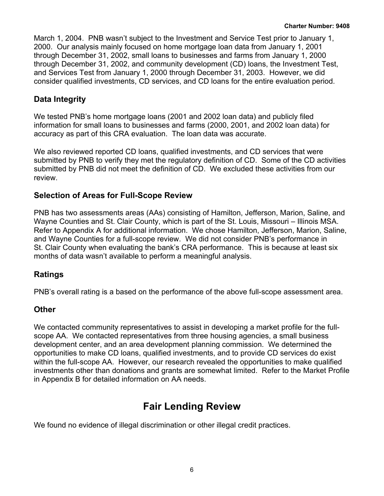<span id="page-7-0"></span>March 1, 2004. PNB wasn't subject to the Investment and Service Test prior to January 1, 2000. Our analysis mainly focused on home mortgage loan data from January 1, 2001 through December 31, 2002, small loans to businesses and farms from January 1, 2000 through December 31, 2002, and community development (CD) loans, the Investment Test, and Services Test from January 1, 2000 through December 31, 2003. However, we did consider qualified investments, CD services, and CD loans for the entire evaluation period.

## **Data Integrity**

We tested PNB's home mortgage loans (2001 and 2002 loan data) and publicly filed information for small loans to businesses and farms (2000, 2001, and 2002 loan data) for accuracy as part of this CRA evaluation. The loan data was accurate.

We also reviewed reported CD loans, qualified investments, and CD services that were submitted by PNB to verify they met the regulatory definition of CD. Some of the CD activities submitted by PNB did not meet the definition of CD. We excluded these activities from our review.

## **Selection of Areas for Full-Scope Review**

PNB has two assessments areas (AAs) consisting of Hamilton, Jefferson, Marion, Saline, and Wayne Counties and St. Clair County, which is part of the St. Louis, Missouri – Illinois MSA. Refer to Appendix A for additional information. We chose Hamilton, Jefferson, Marion, Saline, and Wayne Counties for a full-scope review. We did not consider PNB's performance in St. Clair County when evaluating the bank's CRA performance. This is because at least six months of data wasn't available to perform a meaningful analysis.

## **Ratings**

PNB's overall rating is a based on the performance of the above full-scope assessment area.

## **Other**

We contacted community representatives to assist in developing a market profile for the fullscope AA. We contacted representatives from three housing agencies, a small business development center, and an area development planning commission. We determined the opportunities to make CD loans, qualified investments, and to provide CD services do exist within the full-scope AA. However, our research revealed the opportunities to make qualified investments other than donations and grants are somewhat limited.Refer to the Market Profile in Appendix B for detailed information on AA needs.

## **Fair Lending Review**

We found no evidence of illegal discrimination or other illegal credit practices.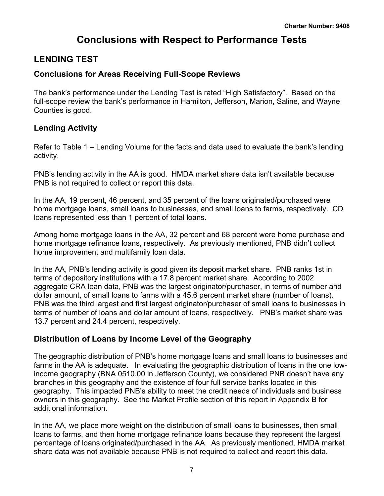## **Conclusions with Respect to Performance Tests**

## <span id="page-8-0"></span>**LENDING TEST**

## **Conclusions for Areas Receiving Full-Scope Reviews**

The bank's performance under the Lending Test is rated "High Satisfactory". Based on the full-scope review the bank's performance in Hamilton, Jefferson, Marion, Saline, and Wayne Counties is good.

## **Lending Activity**

Refer to Table 1 – Lending Volume for the facts and data used to evaluate the bank's lending activity.

PNB's lending activity in the AA is good. HMDA market share data isn't available because PNB is not required to collect or report this data.

In the AA, 19 percent, 46 percent, and 35 percent of the loans originated/purchased were home mortgage loans, small loans to businesses, and small loans to farms, respectively. CD loans represented less than 1 percent of total loans.

Among home mortgage loans in the AA, 32 percent and 68 percent were home purchase and home mortgage refinance loans, respectively. As previously mentioned, PNB didn't collect home improvement and multifamily loan data.

In the AA, PNB's lending activity is good given its deposit market share. PNB ranks 1st in terms of depository institutions with a 17.8 percent market share. According to 2002 aggregate CRA loan data, PNB was the largest originator/purchaser, in terms of number and dollar amount, of small loans to farms with a 45.6 percent market share (number of loans). PNB was the third largest and first largest originator/purchaser of small loans to businesses in terms of number of loans and dollar amount of loans, respectively. PNB's market share was 13.7 percent and 24.4 percent, respectively.

## **Distribution of Loans by Income Level of the Geography**

The geographic distribution of PNB's home mortgage loans and small loans to businesses and farms in the AA is adequate. In evaluating the geographic distribution of loans in the one lowincome geography (BNA 0510.00 in Jefferson County), we considered PNB doesn't have any branches in this geography and the existence of four full service banks located in this geography. This impacted PNB's ability to meet the credit needs of individuals and business owners in this geography. See the Market Profile section of this report in Appendix B for additional information.

In the AA, we place more weight on the distribution of small loans to businesses, then small loans to farms, and then home mortgage refinance loans because they represent the largest percentage of loans originated/purchased in the AA. As previously mentioned, HMDA market share data was not available because PNB is not required to collect and report this data.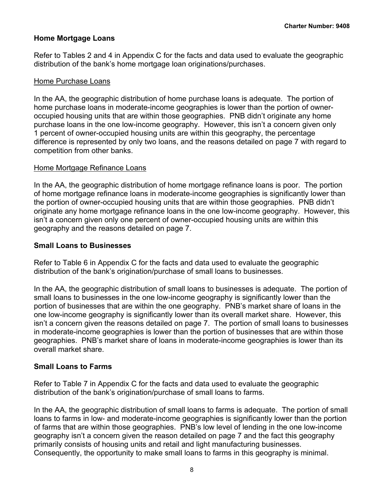### **Home Mortgage Loans**

Refer to Tables 2 and 4 in Appendix C for the facts and data used to evaluate the geographic distribution of the bank's home mortgage loan originations/purchases.

#### Home Purchase Loans

In the AA, the geographic distribution of home purchase loans is adequate. The portion of home purchase loans in moderate-income geographies is lower than the portion of owneroccupied housing units that are within those geographies. PNB didn't originate any home purchase loans in the one low-income geography. However, this isn't a concern given only 1 percent of owner-occupied housing units are within this geography, the percentage difference is represented by only two loans, and the reasons detailed on page 7 with regard to competition from other banks.

#### Home Mortgage Refinance Loans

In the AA, the geographic distribution of home mortgage refinance loans is poor. The portion of home mortgage refinance loans in moderate-income geographies is significantly lower than the portion of owner-occupied housing units that are within those geographies. PNB didn't originate any home mortgage refinance loans in the one low-income geography. However, this isn't a concern given only one percent of owner-occupied housing units are within this geography and the reasons detailed on page 7.

#### **Small Loans to Businesses**

Refer to Table 6 in Appendix C for the facts and data used to evaluate the geographic distribution of the bank's origination/purchase of small loans to businesses.

In the AA, the geographic distribution of small loans to businesses is adequate. The portion of small loans to businesses in the one low-income geography is significantly lower than the portion of businesses that are within the one geography. PNB's market share of loans in the one low-income geography is significantly lower than its overall market share. However, this isn't a concern given the reasons detailed on page 7. The portion of small loans to businesses in moderate-income geographies is lower than the portion of businesses that are within those geographies. PNB's market share of loans in moderate-income geographies is lower than its overall market share.

#### **Small Loans to Farms**

Refer to Table 7 in Appendix C for the facts and data used to evaluate the geographic distribution of the bank's origination/purchase of small loans to farms.

In the AA, the geographic distribution of small loans to farms is adequate. The portion of small loans to farms in low- and moderate-income geographies is significantly lower than the portion of farms that are within those geographies. PNB's low level of lending in the one low-income geography isn't a concern given the reason detailed on page 7 and the fact this geography primarily consists of housing units and retail and light manufacturing businesses. Consequently, the opportunity to make small loans to farms in this geography is minimal.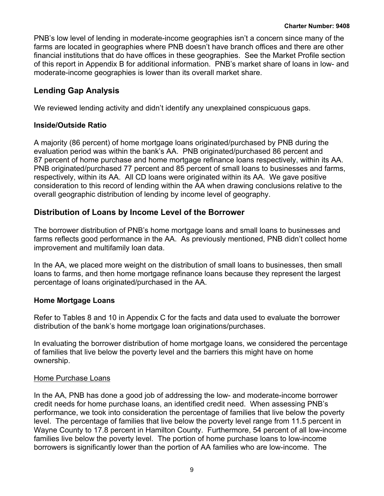PNB's low level of lending in moderate-income geographies isn't a concern since many of the farms are located in geographies where PNB doesn't have branch offices and there are other financial institutions that do have offices in these geographies. See the Market Profile section of this report in Appendix B for additional information. PNB's market share of loans in low- and moderate-income geographies is lower than its overall market share.

## **Lending Gap Analysis**

We reviewed lending activity and didn't identify any unexplained conspicuous gaps.

### **Inside/Outside Ratio**

A majority (86 percent) of home mortgage loans originated/purchased by PNB during the evaluation period was within the bank's AA. PNB originated/purchased 86 percent and 87 percent of home purchase and home mortgage refinance loans respectively, within its AA. PNB originated/purchased 77 percent and 85 percent of small loans to businesses and farms, respectively, within its AA. All CD loans were originated within its AA. We gave positive consideration to this record of lending within the AA when drawing conclusions relative to the overall geographic distribution of lending by income level of geography.

## **Distribution of Loans by Income Level of the Borrower**

The borrower distribution of PNB's home mortgage loans and small loans to businesses and farms reflects good performance in the AA. As previously mentioned, PNB didn't collect home improvement and multifamily loan data.

In the AA, we placed more weight on the distribution of small loans to businesses, then small loans to farms, and then home mortgage refinance loans because they represent the largest percentage of loans originated/purchased in the AA.

### **Home Mortgage Loans**

Refer to Tables 8 and 10 in Appendix C for the facts and data used to evaluate the borrower distribution of the bank's home mortgage loan originations/purchases.

In evaluating the borrower distribution of home mortgage loans, we considered the percentage of families that live below the poverty level and the barriers this might have on home ownership.

### Home Purchase Loans

In the AA, PNB has done a good job of addressing the low- and moderate-income borrower credit needs for home purchase loans, an identified credit need. When assessing PNB's performance, we took into consideration the percentage of families that live below the poverty level. The percentage of families that live below the poverty level range from 11.5 percent in Wayne County to 17.8 percent in Hamilton County. Furthermore, 54 percent of all low-income families live below the poverty level. The portion of home purchase loans to low-income borrowers is significantly lower than the portion of AA families who are low-income. The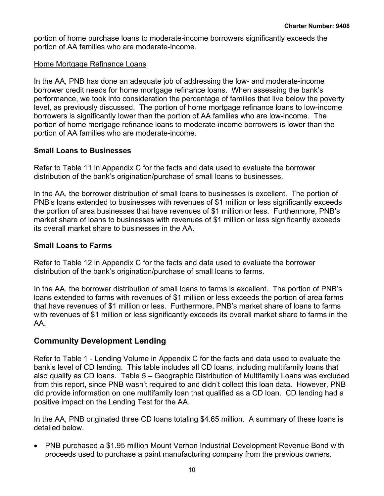portion of home purchase loans to moderate-income borrowers significantly exceeds the portion of AA families who are moderate-income.

#### Home Mortgage Refinance Loans

In the AA, PNB has done an adequate job of addressing the low- and moderate-income borrower credit needs for home mortgage refinance loans. When assessing the bank's performance, we took into consideration the percentage of families that live below the poverty level, as previously discussed. The portion of home mortgage refinance loans to low-income borrowers is significantly lower than the portion of AA families who are low-income. The portion of home mortgage refinance loans to moderate-income borrowers is lower than the portion of AA families who are moderate-income.

### **Small Loans to Businesses**

Refer to Table 11 in Appendix C for the facts and data used to evaluate the borrower distribution of the bank's origination/purchase of small loans to businesses.

In the AA, the borrower distribution of small loans to businesses is excellent. The portion of PNB's loans extended to businesses with revenues of \$1 million or less significantly exceeds the portion of area businesses that have revenues of \$1 million or less. Furthermore, PNB's market share of loans to businesses with revenues of \$1 million or less significantly exceeds its overall market share to businesses in the AA.

## **Small Loans to Farms**

Refer to Table 12 in Appendix C for the facts and data used to evaluate the borrower distribution of the bank's origination/purchase of small loans to farms.

In the AA, the borrower distribution of small loans to farms is excellent. The portion of PNB's loans extended to farms with revenues of \$1 million or less exceeds the portion of area farms that have revenues of \$1 million or less. Furthermore, PNB's market share of loans to farms with revenues of \$1 million or less significantly exceeds its overall market share to farms in the AA.

## **Community Development Lending**

Refer to Table 1 - Lending Volume in Appendix C for the facts and data used to evaluate the bank's level of CD lending. This table includes all CD loans, including multifamily loans that also qualify as CD loans. Table 5 – Geographic Distribution of Multifamily Loans was excluded from this report, since PNB wasn't required to and didn't collect this loan data. However, PNB did provide information on one multifamily loan that qualified as a CD loan. CD lending had a positive impact on the Lending Test for the AA.

In the AA, PNB originated three CD loans totaling \$4.65 million. A summary of these loans is detailed below.

• PNB purchased a \$1.95 million Mount Vernon Industrial Development Revenue Bond with proceeds used to purchase a paint manufacturing company from the previous owners.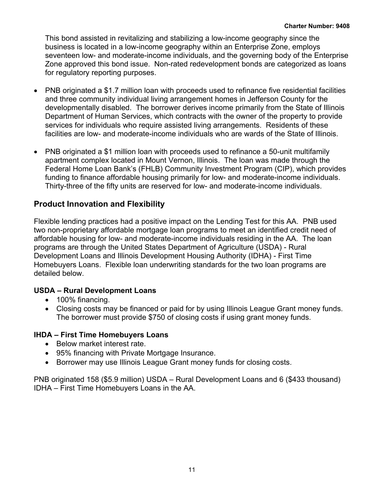This bond assisted in revitalizing and stabilizing a low-income geography since the business is located in a low-income geography within an Enterprise Zone, employs seventeen low- and moderate-income individuals, and the governing body of the Enterprise Zone approved this bond issue. Non-rated redevelopment bonds are categorized as loans for regulatory reporting purposes.

- PNB originated a \$1.7 million loan with proceeds used to refinance five residential facilities and three community individual living arrangement homes in Jefferson County for the developmentally disabled. The borrower derives income primarily from the State of Illinois Department of Human Services, which contracts with the owner of the property to provide services for individuals who require assisted living arrangements. Residents of these facilities are low- and moderate-income individuals who are wards of the State of Illinois.
- PNB originated a \$1 million loan with proceeds used to refinance a 50-unit multifamily apartment complex located in Mount Vernon, Illinois. The loan was made through the Federal Home Loan Bank's (FHLB) Community Investment Program (CIP), which provides funding to finance affordable housing primarily for low- and moderate-income individuals. Thirty-three of the fifty units are reserved for low- and moderate-income individuals.

## **Product Innovation and Flexibility**

Flexible lending practices had a positive impact on the Lending Test for this AA. PNB used two non-proprietary affordable mortgage loan programs to meet an identified credit need of affordable housing for low- and moderate-income individuals residing in the AA. The loan programs are through the United States Department of Agriculture (USDA) - Rural Development Loans and Illinois Development Housing Authority (IDHA) - First Time Homebuyers Loans. Flexible loan underwriting standards for the two loan programs are detailed below.

#### **USDA – Rural Development Loans**

- 100% financing.
- Closing costs may be financed or paid for by using Illinois League Grant money funds. The borrower must provide \$750 of closing costs if using grant money funds.

#### **IHDA – First Time Homebuyers Loans**

- Below market interest rate.
- 95% financing with Private Mortgage Insurance.
- Borrower may use Illinois League Grant money funds for closing costs.

PNB originated 158 (\$5.9 million) USDA – Rural Development Loans and 6 (\$433 thousand) IDHA – First Time Homebuyers Loans in the AA.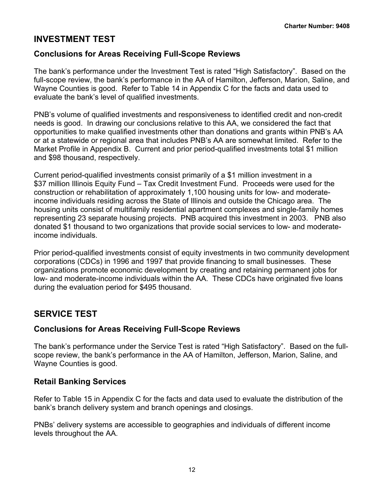## <span id="page-13-0"></span>**INVESTMENT TEST**

## **Conclusions for Areas Receiving Full-Scope Reviews**

The bank's performance under the Investment Test is rated "High Satisfactory". Based on the full-scope review, the bank's performance in the AA of Hamilton, Jefferson, Marion, Saline, and Wayne Counties is good. Refer to Table 14 in Appendix C for the facts and data used to evaluate the bank's level of qualified investments.

PNB's volume of qualified investments and responsiveness to identified credit and non-credit needs is good. In drawing our conclusions relative to this AA, we considered the fact that opportunities to make qualified investments other than donations and grants within PNB's AA or at a statewide or regional area that includes PNB's AA are somewhat limited. Refer to the Market Profile in Appendix B. Current and prior period-qualified investments total \$1 million and \$98 thousand, respectively.

Current period-qualified investments consist primarily of a \$1 million investment in a \$37 million Illinois Equity Fund – Tax Credit Investment Fund. Proceeds were used for the construction or rehabilitation of approximately 1,100 housing units for low- and moderateincome individuals residing across the State of Illinois and outside the Chicago area. The housing units consist of multifamily residential apartment complexes and single-family homes representing 23 separate housing projects. PNB acquired this investment in 2003. PNB also donated \$1 thousand to two organizations that provide social services to low- and moderateincome individuals.

Prior period-qualified investments consist of equity investments in two community development corporations (CDCs) in 1996 and 1997 that provide financing to small businesses. These organizations promote economic development by creating and retaining permanent jobs for low- and moderate-income individuals within the AA. These CDCs have originated five loans during the evaluation period for \$495 thousand.

## **SERVICE TEST**

### **Conclusions for Areas Receiving Full-Scope Reviews**

The bank's performance under the Service Test is rated "High Satisfactory". Based on the fullscope review, the bank's performance in the AA of Hamilton, Jefferson, Marion, Saline, and Wayne Counties is good.

### **Retail Banking Services**

Refer to Table 15 in Appendix C for the facts and data used to evaluate the distribution of the bank's branch delivery system and branch openings and closings.

PNBs' delivery systems are accessible to geographies and individuals of different income levels throughout the AA.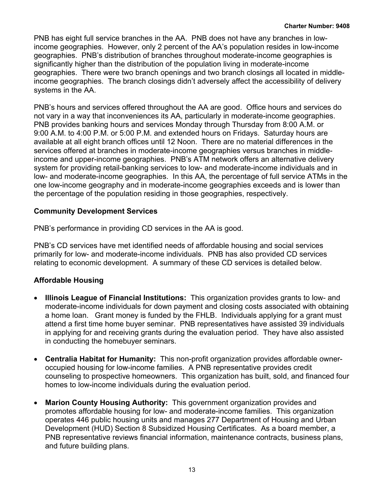PNB has eight full service branches in the AA. PNB does not have any branches in lowincome geographies. However, only 2 percent of the AA's population resides in low-income geographies. PNB's distribution of branches throughout moderate-income geographies is significantly higher than the distribution of the population living in moderate-income geographies. There were two branch openings and two branch closings all located in middleincome geographies. The branch closings didn't adversely affect the accessibility of delivery systems in the AA.

PNB's hours and services offered throughout the AA are good. Office hours and services do not vary in a way that inconveniences its AA, particularly in moderate-income geographies. PNB provides banking hours and services Monday through Thursday from 8:00 A.M. or 9:00 A.M. to 4:00 P.M. or 5:00 P.M. and extended hours on Fridays. Saturday hours are available at all eight branch offices until 12 Noon. There are no material differences in the services offered at branches in moderate-income geographies versus branches in middleincome and upper-income geographies.PNB's ATM network offers an alternative delivery system for providing retail-banking services to low- and moderate-income individuals and in low- and moderate-income geographies.In this AA, the percentage of full service ATMs in the one low-income geography and in moderate-income geographies exceeds and is lower than the percentage of the population residing in those geographies, respectively.

## **Community Development Services**

PNB's performance in providing CD services in the AA is good.

PNB's CD services have met identified needs of affordable housing and social services primarily for low- and moderate-income individuals. PNB has also provided CD services relating to economic development. A summary of these CD services is detailed below.

## **Affordable Housing**

- **Illinois League of Financial Institutions:** This organization provides grants to low- and moderate-income individuals for down payment and closing costs associated with obtaining a home loan. Grant money is funded by the FHLB. Individuals applying for a grant must attend a first time home buyer seminar. PNB representatives have assisted 39 individuals in applying for and receiving grants during the evaluation period. They have also assisted in conducting the homebuyer seminars.
- **Centralia Habitat for Humanity:**This non-profit organization provides affordable owneroccupied housing for low-income families. A PNB representative provides credit counseling to prospective homeowners.This organization has built, sold, and financed four homes to low-income individuals during the evaluation period.
- **Marion County Housing Authority:** This government organization provides and promotes affordable housing for low- and moderate-income families. This organization operates 446 public housing units and manages 277 Department of Housing and Urban Development (HUD) Section 8 Subsidized Housing Certificates. As a board member, a PNB representative reviews financial information, maintenance contracts, business plans, and future building plans.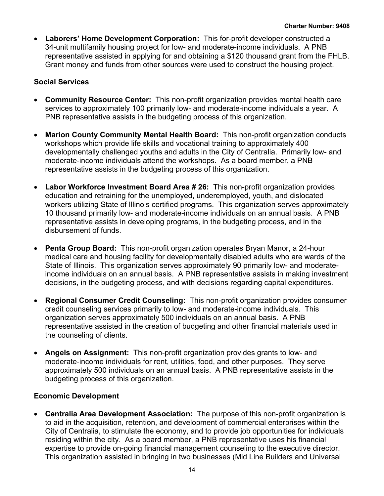• **Laborers' Home Development Corporation:**This for-profit developer constructed a 34-unit multifamily housing project for low- and moderate-income individuals. A PNB representative assisted in applying for and obtaining a \$120 thousand grant from the FHLB. Grant money and funds from other sources were used to construct the housing project.

## **Social Services**

- **Community Resource Center:** This non-profit organization provides mental health care services to approximately 100 primarily low- and moderate-income individuals a year. A PNB representative assists in the budgeting process of this organization.
- **Marion County Community Mental Health Board:** This non-profit organization conducts workshops which provide life skills and vocational training to approximately 400 developmentally challenged youths and adults in the City of Centralia. Primarily low- and moderate-income individuals attend the workshops. As a board member, a PNB representative assists in the budgeting process of this organization.
- **Labor Workforce Investment Board Area # 26:** This non-profit organization provides education and retraining for the unemployed, underemployed, youth, and dislocated workers utilizing State of Illinois certified programs. This organization serves approximately 10 thousand primarily low- and moderate-income individuals on an annual basis. A PNB representative assists in developing programs, in the budgeting process, and in the disbursement of funds.
- **Penta Group Board:** This non-profit organization operates Bryan Manor, a 24-hour medical care and housing facility for developmentally disabled adults who are wards of the State of Illinois. This organization serves approximately 90 primarily low- and moderateincome individuals on an annual basis. A PNB representative assists in making investment decisions, in the budgeting process, and with decisions regarding capital expenditures.
- **Regional Consumer Credit Counseling:** This non-profit organization provides consumer credit counseling services primarily to low- and moderate-income individuals. This organization serves approximately 500 individuals on an annual basis. A PNB representative assisted in the creation of budgeting and other financial materials used in the counseling of clients.
- **Angels on Assignment:** This non-profit organization provides grants to low- and moderate-income individuals for rent, utilities, food, and other purposes. They serve approximately 500 individuals on an annual basis. A PNB representative assists in the budgeting process of this organization.

### **Economic Development**

• **Centralia Area Development Association:** The purpose of this non-profit organization is to aid in the acquisition, retention, and development of commercial enterprises within the City of Centralia, to stimulate the economy, and to provide job opportunities for individuals residing within the city. As a board member, a PNB representative uses his financial expertise to provide on-going financial management counseling to the executive director. This organization assisted in bringing in two businesses (Mid Line Builders and Universal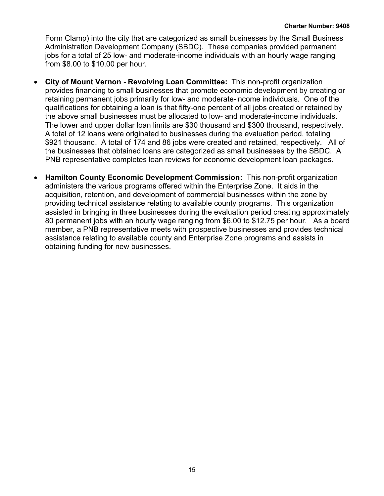Form Clamp) into the city that are categorized as small businesses by the Small Business Administration Development Company (SBDC). These companies provided permanent jobs for a total of 25 low- and moderate-income individuals with an hourly wage ranging from \$8.00 to \$10.00 per hour.

- **City of Mount Vernon Revolving Loan Committee:** This non-profit organization provides financing to small businesses that promote economic development by creating or retaining permanent jobs primarily for low- and moderate-income individuals. One of the qualifications for obtaining a loan is that fifty-one percent of all jobs created or retained by the above small businesses must be allocated to low- and moderate-income individuals. The lower and upper dollar loan limits are \$30 thousand and \$300 thousand, respectively. A total of 12 loans were originated to businesses during the evaluation period, totaling \$921 thousand. A total of 174 and 86 jobs were created and retained, respectively. All of the businesses that obtained loans are categorized as small businesses by the SBDC. A PNB representative completes loan reviews for economic development loan packages.
- **Hamilton County Economic Development Commission:** This non-profit organization administers the various programs offered within the Enterprise Zone. It aids in the acquisition, retention, and development of commercial businesses within the zone by providing technical assistance relating to available county programs. This organization assisted in bringing in three businesses during the evaluation period creating approximately 80 permanent jobs with an hourly wage ranging from \$6.00 to \$12.75 per hour. As a board member, a PNB representative meets with prospective businesses and provides technical assistance relating to available county and Enterprise Zone programs and assists in obtaining funding for new businesses.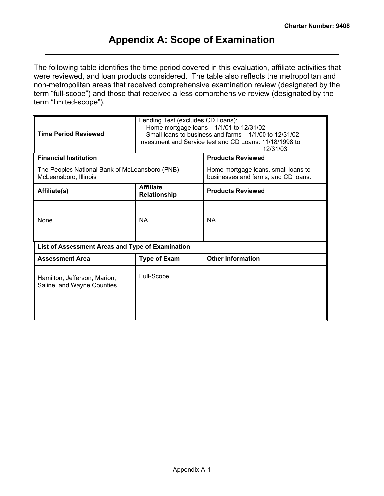## **Appendix A: Scope of Examination**

<span id="page-17-0"></span>The following table identifies the time period covered in this evaluation, affiliate activities that were reviewed, and loan products considered. The table also reflects the metropolitan and non-metropolitan areas that received comprehensive examination review (designated by the term "full-scope") and those that received a less comprehensive review (designated by the term "limited-scope").

| <b>Time Period Reviewed</b>                                             | Lending Test (excludes CD Loans): | Home mortgage loans $-1/1/01$ to 12/31/02<br>Small loans to business and farms - 1/1/00 to 12/31/02<br>Investment and Service test and CD Loans: 11/18/1998 to<br>12/31/03 |  |  |  |  |  |
|-------------------------------------------------------------------------|-----------------------------------|----------------------------------------------------------------------------------------------------------------------------------------------------------------------------|--|--|--|--|--|
| <b>Financial Institution</b>                                            |                                   | <b>Products Reviewed</b>                                                                                                                                                   |  |  |  |  |  |
| The Peoples National Bank of McLeansboro (PNB)<br>McLeansboro, Illinois |                                   | Home mortgage loans, small loans to<br>businesses and farms, and CD loans.                                                                                                 |  |  |  |  |  |
| Affiliate(s)                                                            | <b>Affiliate</b><br>Relationship  | <b>Products Reviewed</b>                                                                                                                                                   |  |  |  |  |  |
| <b>None</b>                                                             | <b>NA</b>                         | <b>NA</b>                                                                                                                                                                  |  |  |  |  |  |
| List of Assessment Areas and Type of Examination                        |                                   |                                                                                                                                                                            |  |  |  |  |  |
| <b>Assessment Area</b>                                                  | <b>Type of Exam</b>               | <b>Other Information</b>                                                                                                                                                   |  |  |  |  |  |
| Hamilton, Jefferson, Marion,<br>Saline, and Wayne Counties              | Full-Scope                        |                                                                                                                                                                            |  |  |  |  |  |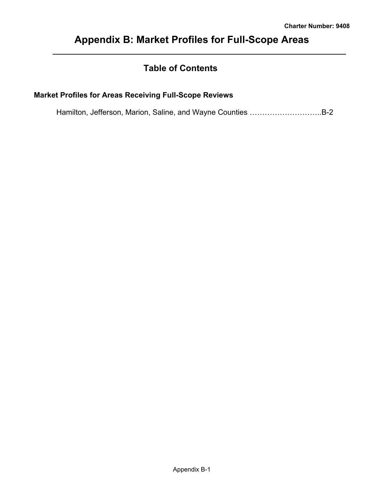## <span id="page-18-0"></span>**Appendix B: Market Profiles for Full-Scope Areas**

## **Table of Contents**

## **Market Profiles for Areas Receiving Full-Scope Reviews**

Hamilton, Jefferson, Marion, Saline, and Wayne Counties ………………………..B-2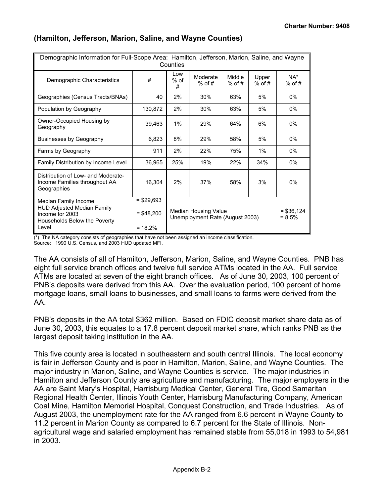| Demographic Information for Full-Scope Area: Hamilton, Jefferson, Marion, Saline, and Wayne                           |                                         | Counties           |                                                         |                    |                   |                         |
|-----------------------------------------------------------------------------------------------------------------------|-----------------------------------------|--------------------|---------------------------------------------------------|--------------------|-------------------|-------------------------|
| Demographic Characteristics                                                                                           | #                                       | Low<br>$%$ of<br># | Moderate<br>$%$ of #                                    | Middle<br>$%$ of # | Upper<br>$%$ of # | $NA^*$<br>$%$ of #      |
| Geographies (Census Tracts/BNAs)                                                                                      | 40                                      | 2%                 | 30%                                                     | 63%                | 5%                | 0%                      |
| Population by Geography                                                                                               | 130,872                                 | 2%                 | 30%                                                     | 63%                | 5%                | $0\%$                   |
| Owner-Occupied Housing by<br>Geography                                                                                | 39,463                                  | $1\%$              | 29%                                                     | 64%                | 6%                | $0\%$                   |
| <b>Businesses by Geography</b>                                                                                        | 6,823                                   | 8%                 | 29%                                                     | 58%                | 5%                | 0%                      |
| Farms by Geography                                                                                                    | 911                                     | 2%                 | 22%                                                     | 75%                | 1%                | $0\%$                   |
| Family Distribution by Income Level                                                                                   | 36,965                                  | 25%                | 19%                                                     | 22%                | 34%               | $0\%$                   |
| Distribution of Low- and Moderate-<br>Income Families throughout AA<br>Geographies                                    | 16,304                                  | 2%                 | 37%                                                     | 58%                | 3%                | $0\%$                   |
| Median Family Income<br><b>HUD Adjusted Median Family</b><br>Income for 2003<br>Households Below the Poverty<br>Level | $= $29.693$<br>$= $48,200$<br>$= 18.2%$ |                    | Median Housing Value<br>Unemployment Rate (August 2003) |                    |                   | $= $36,124$<br>$= 8.5%$ |

#### **(Hamilton, Jefferson, Marion, Saline, and Wayne Counties)**

 $(*)$  The NA category consists of geographies that have not been assigned an income classification. Source: 1990 U.S. Census, and 2003 HUD updated MFI.

The AA consists of all of Hamilton, Jefferson, Marion, Saline, and Wayne Counties. PNB has eight full service branch offices and twelve full service ATMs located in the AA. Full service ATMs are located at seven of the eight branch offices. As of June 30, 2003, 100 percent of PNB's deposits were derived from this AA. Over the evaluation period, 100 percent of home mortgage loans, small loans to businesses, and small loans to farms were derived from the AA.

PNB's deposits in the AA total \$362 million. Based on FDIC deposit market share data as of June 30, 2003, this equates to a 17.8 percent deposit market share, which ranks PNB as the largest deposit taking institution in the AA.

This five county area is located in southeastern and south central Illinois. The local economy is fair in Jefferson County and is poor in Hamilton, Marion, Saline, and Wayne Counties. The major industry in Marion, Saline, and Wayne Counties is service. The major industries in Hamilton and Jefferson County are agriculture and manufacturing. The major employers in the AA are Saint Mary's Hospital, Harrisburg Medical Center, General Tire, Good Samaritan Regional Health Center, Illinois Youth Center, Harrisburg Manufacturing Company, American Coal Mine, Hamilton Memorial Hospital, Conquest Construction, and Trade Industries.As of August 2003, the unemployment rate for the AA ranged from 6.6 percent in Wayne County to 11.2 percent in Marion County as compared to 6.7 percent for the State of Illinois. Nonagricultural wage and salaried employment has remained stable from 55,018 in 1993 to 54,981 in 2003.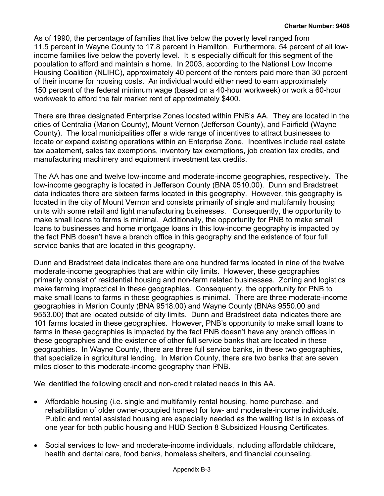As of 1990, the percentage of families that live below the poverty level ranged from 11.5 percent in Wayne County to 17.8 percent in Hamilton. Furthermore, 54 percent of all lowincome families live below the poverty level. It is especially difficult for this segment of the population to afford and maintain a home. In 2003, according to the National Low Income Housing Coalition (NLIHC), approximately 40 percent of the renters paid more than 30 percent of their income for housing costs. An individual would either need to earn approximately 150 percent of the federal minimum wage (based on a 40-hour workweek) or work a 60-hour workweek to afford the fair market rent of approximately \$400.

There are three designated Enterprise Zones located within PNB's AA. They are located in the cities of Centralia (Marion County), Mount Vernon (Jefferson County), and Fairfield (Wayne County). The local municipalities offer a wide range of incentives to attract businesses to locate or expand existing operations within an Enterprise Zone. Incentives include real estate tax abatement, sales tax exemptions, inventory tax exemptions, job creation tax credits, and manufacturing machinery and equipment investment tax credits.

The AA has one and twelve low-income and moderate-income geographies, respectively. The low-income geography is located in Jefferson County (BNA 0510.00). Dunn and Bradstreet data indicates there are sixteen farms located in this geography. However, this geography is located in the city of Mount Vernon and consists primarily of single and multifamily housing units with some retail and light manufacturing businesses. Consequently, the opportunity to make small loans to farms is minimal. Additionally, the opportunity for PNB to make small loans to businesses and home mortgage loans in this low-income geography is impacted by the fact PNB doesn't have a branch office in this geography and the existence of four full service banks that are located in this geography.

Dunn and Bradstreet data indicates there are one hundred farms located in nine of the twelve moderate-income geographies that are within city limits. However, these geographies primarily consist of residential housing and non-farm related businesses. Zoning and logistics make farming impractical in these geographies. Consequently, the opportunity for PNB to make small loans to farms in these geographies is minimal. There are three moderate-income geographies in Marion County (BNA 9518.00) and Wayne County (BNAs 9550.00 and 9553.00) that are located outside of city limits. Dunn and Bradstreet data indicates there are 101 farms located in these geographies. However, PNB's opportunity to make small loans to farms in these geographies is impacted by the fact PNB doesn't have any branch offices in these geographies and the existence of other full service banks that are located in these geographies. In Wayne County, there are three full service banks, in these two geographies, that specialize in agricultural lending. In Marion County, there are two banks that are seven miles closer to this moderate-income geography than PNB.

We identified the following credit and non-credit related needs in this AA.

- Affordable housing (i.e. single and multifamily rental housing, home purchase, and rehabilitation of older owner-occupied homes) for low- and moderate-income individuals. Public and rental assisted housing are especially needed as the waiting list is in excess of one year for both public housing and HUD Section 8 Subsidized Housing Certificates.
- Social services to low- and moderate-income individuals, including affordable childcare, health and dental care, food banks, homeless shelters, and financial counseling.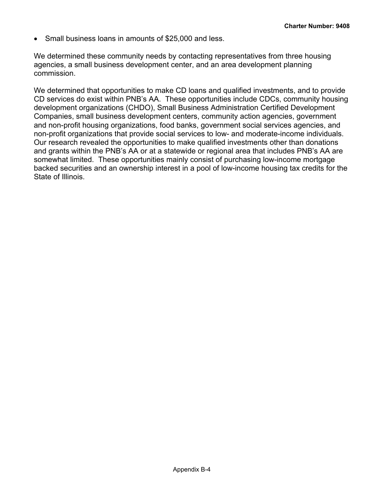• Small business loans in amounts of \$25,000 and less.

We determined these community needs by contacting representatives from three housing agencies, a small business development center, and an area development planning commission.

We determined that opportunities to make CD loans and qualified investments, and to provide CD services do exist within PNB's AA. These opportunities include CDCs, community housing development organizations (CHDO), Small Business Administration Certified Development Companies, small business development centers, community action agencies, government and non-profit housing organizations, food banks, government social services agencies, and non-profit organizations that provide social services to low- and moderate-income individuals. Our research revealed the opportunities to make qualified investments other than donations and grants within the PNB's AA or at a statewide or regional area that includes PNB's AA are somewhat limited.These opportunities mainly consist of purchasing low-income mortgage backed securities and an ownership interest in a pool of low-income housing tax credits for the State of Illinois.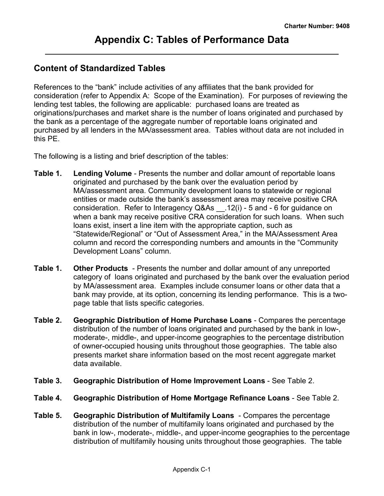## <span id="page-22-0"></span>**Content of Standardized Tables**

References to the "bank" include activities of any affiliates that the bank provided for consideration (refer to Appendix A: Scope of the Examination). For purposes of reviewing the lending test tables, the following are applicable: purchased loans are treated as originations/purchases and market share is the number of loans originated and purchased by the bank as a percentage of the aggregate number of reportable loans originated and purchased by all lenders in the MA/assessment area. Tables without data are not included in this PE.

The following is a listing and brief description of the tables:

- **Table 1. Lending Volume** Presents the number and dollar amount of reportable loans originated and purchased by the bank over the evaluation period by MA/assessment area. Community development loans to statewide or regional entities or made outside the bank's assessment area may receive positive CRA consideration. Refer to Interagency Q&As \_\_.12(i) - 5 and - 6 for guidance on when a bank may receive positive CRA consideration for such loans. When such loans exist, insert a line item with the appropriate caption, such as "Statewide/Regional" or "Out of Assessment Area," in the MA/Assessment Area column and record the corresponding numbers and amounts in the "Community Development Loans" column.
- **Table 1. Other Products**  Presents the number and dollar amount of any unreported category of loans originated and purchased by the bank over the evaluation period by MA/assessment area. Examples include consumer loans or other data that a bank may provide, at its option, concerning its lending performance. This is a twopage table that lists specific categories.
- **Table 2. Geographic Distribution of Home Purchase Loans** Compares the percentage distribution of the number of loans originated and purchased by the bank in low-, moderate-, middle-, and upper-income geographies to the percentage distribution of owner-occupied housing units throughout those geographies. The table also presents market share information based on the most recent aggregate market data available.
- **Table 3. Geographic Distribution of Home Improvement Loans** See Table 2.
- **Table 4. Geographic Distribution of Home Mortgage Refinance Loans** See Table 2.
- **Table 5. Geographic Distribution of Multifamily Loans** Compares the percentage distribution of the number of multifamily loans originated and purchased by the bank in low-, moderate-, middle-, and upper-income geographies to the percentage distribution of multifamily housing units throughout those geographies. The table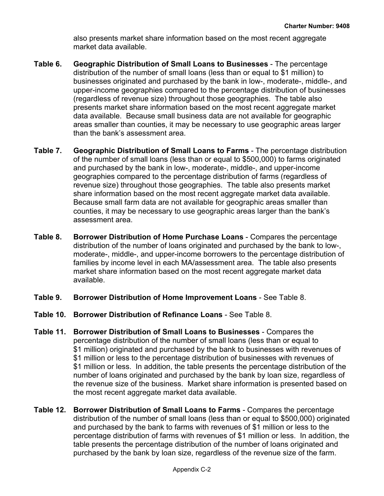also presents market share information based on the most recent aggregate market data available.

- **Table 6. Geographic Distribution of Small Loans to Businesses** The percentage distribution of the number of small loans (less than or equal to \$1 million) to businesses originated and purchased by the bank in low-, moderate-, middle-, and upper-income geographies compared to the percentage distribution of businesses (regardless of revenue size) throughout those geographies. The table also presents market share information based on the most recent aggregate market data available. Because small business data are not available for geographic areas smaller than counties, it may be necessary to use geographic areas larger than the bank's assessment area.
- **Table 7. Geographic Distribution of Small Loans to Farms** The percentage distribution of the number of small loans (less than or equal to \$500,000) to farms originated and purchased by the bank in low-, moderate-, middle-, and upper-income geographies compared to the percentage distribution of farms (regardless of revenue size) throughout those geographies. The table also presents market share information based on the most recent aggregate market data available. Because small farm data are not available for geographic areas smaller than counties, it may be necessary to use geographic areas larger than the bank's assessment area.
- **Table 8. Borrower Distribution of Home Purchase Loans** Compares the percentage distribution of the number of loans originated and purchased by the bank to low-, moderate-, middle-, and upper-income borrowers to the percentage distribution of families by income level in each MA/assessment area. The table also presents market share information based on the most recent aggregate market data available.
- **Table 9. Borrower Distribution of Home Improvement Loans** See Table 8.
- **Table 10. Borrower Distribution of Refinance Loans** See Table 8.
- **Table 11. Borrower Distribution of Small Loans to Businesses** Compares the percentage distribution of the number of small loans (less than or equal to \$1 million) originated and purchased by the bank to businesses with revenues of \$1 million or less to the percentage distribution of businesses with revenues of \$1 million or less. In addition, the table presents the percentage distribution of the number of loans originated and purchased by the bank by loan size, regardless of the revenue size of the business. Market share information is presented based on the most recent aggregate market data available.
- **Table 12. Borrower Distribution of Small Loans to Farms** Compares the percentage distribution of the number of small loans (less than or equal to \$500,000) originated and purchased by the bank to farms with revenues of \$1 million or less to the percentage distribution of farms with revenues of \$1 million or less. In addition, the table presents the percentage distribution of the number of loans originated and purchased by the bank by loan size, regardless of the revenue size of the farm.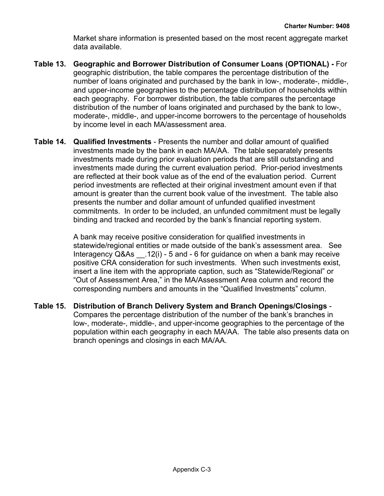Market share information is presented based on the most recent aggregate market data available.

- **Table 13. Geographic and Borrower Distribution of Consumer Loans (OPTIONAL)** For geographic distribution, the table compares the percentage distribution of the number of loans originated and purchased by the bank in low-, moderate-, middle-, and upper-income geographies to the percentage distribution of households within each geography. For borrower distribution, the table compares the percentage distribution of the number of loans originated and purchased by the bank to low-, moderate-, middle-, and upper-income borrowers to the percentage of households by income level in each MA/assessment area.
- **Table 14. Qualified Investments** Presents the number and dollar amount of qualified investments made by the bank in each MA/AA. The table separately presents investments made during prior evaluation periods that are still outstanding and investments made during the current evaluation period. Prior-period investments are reflected at their book value as of the end of the evaluation period. Current period investments are reflected at their original investment amount even if that amount is greater than the current book value of the investment. The table also presents the number and dollar amount of unfunded qualified investment commitments. In order to be included, an unfunded commitment must be legally binding and tracked and recorded by the bank's financial reporting system.

A bank may receive positive consideration for qualified investments in statewide/regional entities or made outside of the bank's assessment area. See Interagency Q&As \_\_.12(i) - 5 and - 6 for guidance on when a bank may receive positive CRA consideration for such investments. When such investments exist, insert a line item with the appropriate caption, such as "Statewide/Regional" or "Out of Assessment Area," in the MA/Assessment Area column and record the corresponding numbers and amounts in the "Qualified Investments" column.

**Table 15. Distribution of Branch Delivery System and Branch Openings/Closings** - Compares the percentage distribution of the number of the bank's branches in low-, moderate-, middle-, and upper-income geographies to the percentage of the population within each geography in each MA/AA. The table also presents data on branch openings and closings in each MA/AA.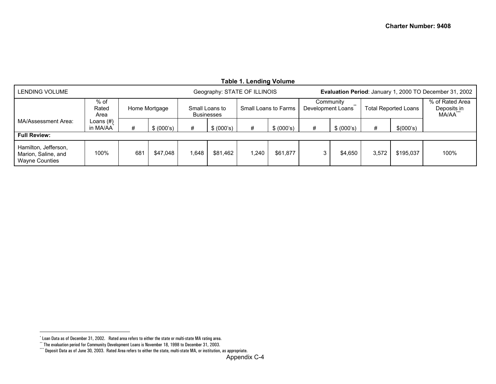<span id="page-25-2"></span><span id="page-25-1"></span><span id="page-25-0"></span>

|                                                               |                         |     |               |      |                                     | Taple 1. Lending volume      |                      |                   |                    |       |                             |                                                         |
|---------------------------------------------------------------|-------------------------|-----|---------------|------|-------------------------------------|------------------------------|----------------------|-------------------|--------------------|-------|-----------------------------|---------------------------------------------------------|
| LENDING VOLUME                                                |                         |     |               |      |                                     | Geography: STATE OF ILLINOIS |                      |                   |                    |       |                             | Evaluation Period: January 1, 2000 TO December 31, 2002 |
|                                                               | $%$ of<br>Rated<br>Area |     | Home Mortgage |      | Small Loans to<br><b>Businesses</b> |                              | Small Loans to Farms | Development Loans | Community<br>$+ +$ |       | <b>Total Reported Loans</b> | % of Rated Area<br>Deposits in<br>MA/AA                 |
| MA/Assessment Area:                                           | Loans (#)<br>in MA/AA   | #   | \$ (000's)    | #    | \$ (000's)                          | #                            | \$ (000's)           | #                 | \$ (000's)         | #     | \$(000's)                   |                                                         |
| <b>Full Review:</b>                                           |                         |     |               |      |                                     |                              |                      |                   |                    |       |                             |                                                         |
| Hamilton, Jefferson,<br>Marion, Saline, and<br>Wayne Counties | 100%                    | 681 | \$47,048      | .648 | \$81,462                            | .240                         | \$61,877             | 3                 | \$4.650            | 3,572 | \$195,037                   | 100%                                                    |

#### **Table 1. Lending Volume**

<sup>\*</sup> Loan Data as of December 31, 2002. Rated area refers to either the state or multi-state MA rating area.

<sup>\*\*</sup> The evaluation period for Community Development Loans is November 18, 1998 to December 31, 2003.

<sup>\*\*\*</sup> Deposit Data as of June 30, 2003. Rated Area refers to either the state, multi-state MA, or institution, as appropriate.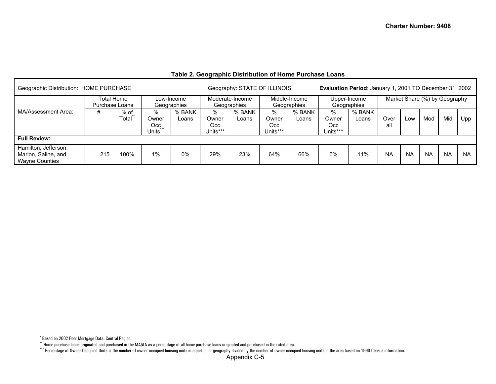#### **Table 2. Geographic Distribution of Home Purchase Loans**

<span id="page-26-2"></span><span id="page-26-1"></span><span id="page-26-0"></span>

| Geographic Distribution: HOME PURCHASE                               |                                                           |               |                                                    |                 |                               | Geography: STATE OF ILLINOIS |                               |                              | Evaluation Period: January 1, 2001 TO December 31, 2002 |                             |             |                               |           |           |           |
|----------------------------------------------------------------------|-----------------------------------------------------------|---------------|----------------------------------------------------|-----------------|-------------------------------|------------------------------|-------------------------------|------------------------------|---------------------------------------------------------|-----------------------------|-------------|-------------------------------|-----------|-----------|-----------|
|                                                                      | Total Home<br>Low-Income<br>Purchase Loans<br>Geographies |               |                                                    |                 |                               |                              |                               | Middle-Income<br>Geographies |                                                         | Upper-Income<br>Geographies |             | Market Share (%) by Geography |           |           |           |
| MA/Assessment Area:                                                  | #                                                         | % of<br>Total | %<br>Owner<br>Occ<br>$+ + +$<br>Units <sup>®</sup> | % BANK<br>Loans | %<br>Owner<br>Occ<br>Units*** | % BANK<br>Loans              | %<br>Owner<br>Occ<br>Units*** | % BANK<br>Loans              | %<br>Owner<br>Occ<br>Units***                           | % BANK<br>Loans             | Over<br>all | Low                           | Mod       | Mid       | Upp       |
| <b>Full Review:</b>                                                  |                                                           |               |                                                    |                 |                               |                              |                               |                              |                                                         |                             |             |                               |           |           |           |
| Hamilton, Jefferson,<br>Marion, Saline, and<br><b>Wayne Counties</b> | 215                                                       | 100%          | 1%                                                 | 0%              | 29%                           | 23%                          | 64%                           | 66%                          | 6%                                                      | 11%                         | <b>NA</b>   | <b>NA</b>                     | <b>NA</b> | <b>NA</b> | <b>NA</b> |

<sup>\*</sup> Based on 2002 Peer Mortgage Data: Central Region.

<sup>\*\*</sup> Home purchase loans originated and purchased in the MA/AA as a percentage of all home purchase loans originated and purchased in the rated area.

<sup>\*\*\*\*</sup> Percentage of Owner Occupied Units is the number of owner occupied housing units in a particular geography divided by the number of owner occupied housing units in the area based on 1990 Census information.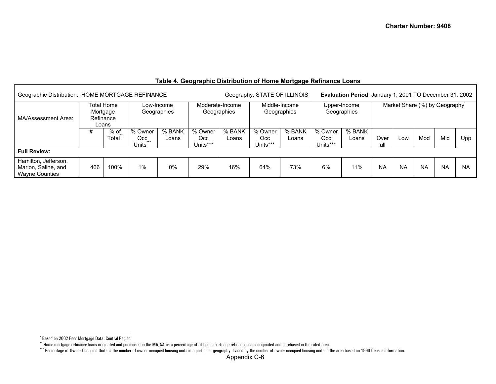<span id="page-27-2"></span><span id="page-27-1"></span><span id="page-27-0"></span>

| Geographic Distribution: HOME MORTGAGE REFINANCE                     |     |                                              |                                   |                           |                            |                                | Geography: STATE OF ILLINOIS |                              |                             | Evaluation Period: January 1, 2001 TO December 31, 2002 |             |           |           |                               |           |
|----------------------------------------------------------------------|-----|----------------------------------------------|-----------------------------------|---------------------------|----------------------------|--------------------------------|------------------------------|------------------------------|-----------------------------|---------------------------------------------------------|-------------|-----------|-----------|-------------------------------|-----------|
| MA/Assessment Area:                                                  |     | Total Home<br>Mortgage<br>Refinance<br>Loans |                                   | Low-Income<br>Geographies |                            | Moderate-Income<br>Geographies |                              | Middle-Income<br>Geographies |                             | Upper-Income<br>Geographies                             |             |           |           | Market Share (%) by Geography |           |
|                                                                      | #   | $%$ of<br>Total                              | % Owner<br>Occ.<br>$***$<br>Units | % BANK<br>Loans           | % Owner<br>Occ<br>Units*** | % BANK<br>Loans                | % Owner<br>Occ<br>Units***   | % BANK<br>Loans              | % Owner<br>Occ.<br>Units*** | % BANK<br>Loans                                         | Over<br>all | LOW       | Mod       | Mid                           | Upp       |
| <b>Full Review:</b>                                                  |     |                                              |                                   |                           |                            |                                |                              |                              |                             |                                                         |             |           |           |                               |           |
| Hamilton, Jefferson,<br>Marion, Saline, and<br><b>Wayne Counties</b> | 466 | 100%                                         | 1%                                | $0\%$                     | 29%                        | 16%                            | 64%                          | 73%                          | 6%                          | 11%                                                     | <b>NA</b>   | <b>NA</b> | <b>NA</b> | <b>NA</b>                     | <b>NA</b> |

#### **Table 4. Geographic Distribution of Home Mortgage Refinance Loans**

<sup>\*</sup> Based on 2002 Peer Mortgage Data: Central Region.

<sup>\*\*</sup> Home mortgage refinance loans originated and purchased in the MA/AA as a percentage of all home mortgage refinance loans originated and purchased in the rated area.

<sup>\*\*\*</sup> Percentage of Owner Occupied Units is the number of owner occupied housing units in a particular geography divided by the number of owner occupied housing units in the area based on 1990 Census information.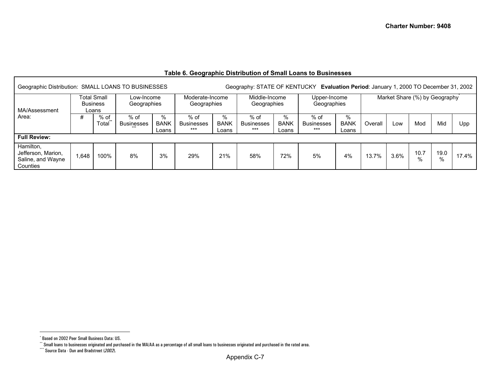#### **Table 6. Geographic Distribution of Small Loans to Businesses**

<span id="page-28-2"></span><span id="page-28-1"></span><span id="page-28-0"></span>

| Geographic Distribution: SMALL LOANS TO BUSINESSES               |       |                                                |                           |                           |                                    |                           |                                      |                           | Geography: STATE OF KENTUCKY Evaluation Period: January 1, 2000 TO December 31, 2002 |                              |         |      |                               |              |       |
|------------------------------------------------------------------|-------|------------------------------------------------|---------------------------|---------------------------|------------------------------------|---------------------------|--------------------------------------|---------------------------|--------------------------------------------------------------------------------------|------------------------------|---------|------|-------------------------------|--------------|-------|
| MA/Assessment                                                    |       | <b>Total Small</b><br><b>Business</b><br>Loans | Low-Income<br>Geographies |                           | Moderate-Income<br>Geographies     |                           | Middle-Income<br>Geographies         |                           | Upper-Income<br>Geographies                                                          |                              |         |      | Market Share (%) by Geography |              |       |
| Area:                                                            | #     | $%$ of<br>Total                                | % of<br><b>Businesses</b> | %<br><b>BANK</b><br>Loans | $%$ of<br><b>Businesses</b><br>*** | %<br><b>BANK</b><br>Loans | $%$ of<br><b>Businesses</b><br>$***$ | %<br><b>BANK</b><br>Loans | $%$ of<br><b>Businesses</b><br>$***$                                                 | $\%$<br><b>BANK</b><br>Loans | Overall | Low  | Mod                           | Mid          | Upp   |
| <b>Full Review:</b>                                              |       |                                                |                           |                           |                                    |                           |                                      |                           |                                                                                      |                              |         |      |                               |              |       |
| Hamilton,<br>Jefferson, Marion,<br>Saline, and Wayne<br>Counties | 1,648 | 100%                                           | 8%                        | 3%                        | 29%                                | 21%                       | 58%                                  | 72%                       | 5%                                                                                   | 4%                           | 13.7%   | 3.6% | 10.7<br>$\%$                  | 19.0<br>$\%$ | 17.4% |

<sup>\*</sup> Based on 2002 Peer Small Business Data: US.

 $^{\circ}$  Small loans to businesses originated and purchased in the MA/AA as a percentage of all small loans to businesses originated and purchased in the rated area.

<sup>\*\*\*</sup> Source Data - Dun and Bradstreet (*2002*).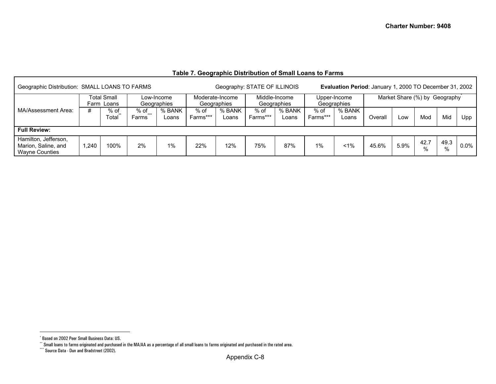#### **Table 7. Geographic Distribution of Small Loans to Farms**

<span id="page-29-2"></span><span id="page-29-1"></span><span id="page-29-0"></span>

| Geographic Distribution: SMALL LOANS TO FARMS                        |                                                                                      |       |                  |                 |                    |                                | Geography: STATE OF ILLINOIS |                              |                  | Evaluation Period: January 1, 2000 TO December 31, 2002 |         |                               |           |           |         |
|----------------------------------------------------------------------|--------------------------------------------------------------------------------------|-------|------------------|-----------------|--------------------|--------------------------------|------------------------------|------------------------------|------------------|---------------------------------------------------------|---------|-------------------------------|-----------|-----------|---------|
|                                                                      | <b>Total Small</b><br>Low-Income<br>Geographies<br>Farm Loans<br>#<br>$%$ of<br>% of |       |                  |                 |                    | Moderate-Income<br>Geographies |                              | Middle-Income<br>Geographies |                  | Upper-Income<br>Geographies                             |         | Market Share (%) by Geography |           |           |         |
| MA/Assessment Area:                                                  |                                                                                      | Total | $+ + +$<br>Farms | % BANK<br>Loans | $%$ of<br>Farms*** | % BANK<br>Loans                | $%$ of<br>Farms***           | % BANK<br>Loans              | % of<br>Farms*** | % BANK<br>Loans                                         | Overall | LOW                           | Mod       | Mid       | Upp     |
| <b>Full Review:</b>                                                  |                                                                                      |       |                  |                 |                    |                                |                              |                              |                  |                                                         |         |                               |           |           |         |
| Hamilton, Jefferson,<br>Marion, Saline, and<br><b>Wayne Counties</b> | ,240                                                                                 | 100%  | 2%               | 1%              | 22%                | 12%                            | 75%                          | 87%                          | $1\%$            | $1\%$                                                   | 45.6%   | 5.9%                          | 42.7<br>% | 49.3<br>% | $0.0\%$ |

<sup>\*</sup> Based on 2002 Peer Small Business Data: US.

 $^{\circ}$  Small loans to farms originated and purchased in the MA/AA as a percentage of all small loans to farms originated and purchased in the rated area.

<sup>\*\*\*</sup> Source Data - Dun and Bradstreet (2002).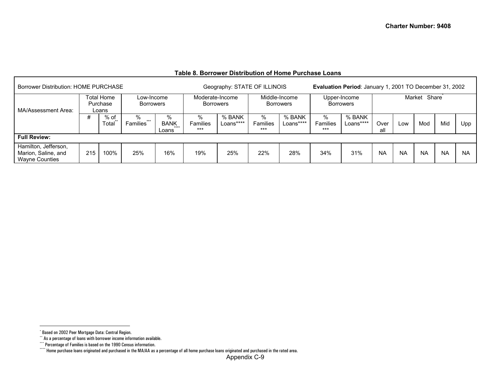#### **Table 8. Borrower Distribution of Home Purchase Loans**

<span id="page-30-3"></span><span id="page-30-2"></span><span id="page-30-1"></span><span id="page-30-0"></span>

| <b>Borrower Distribution: HOME PURCHASE</b>                          |     |                                        |                                |                                        |                                     | Geography: STATE OF ILLINOIS |                        |                                   |                        | Evaluation Period: January 1, 2001 TO December 31, 2002 |             |           |              |           |           |
|----------------------------------------------------------------------|-----|----------------------------------------|--------------------------------|----------------------------------------|-------------------------------------|------------------------------|------------------------|-----------------------------------|------------------------|---------------------------------------------------------|-------------|-----------|--------------|-----------|-----------|
| MA/Assessment Area:                                                  |     | <b>Total Home</b><br>Purchase<br>Loans | Low-Income<br><b>Borrowers</b> |                                        | Moderate-Income<br><b>Borrowers</b> |                              |                        | Middle-Income<br><b>Borrowers</b> |                        | Upper-Income<br><b>Borrowers</b>                        |             |           | Market Share |           |           |
|                                                                      | #   | % of<br>Total                          | ℅<br>$***$<br><b>Families</b>  | %<br><b>BANK</b><br>$+ + + +$<br>Loans | %<br><b>Families</b><br>$***$       | % BANK<br>Loans****          | %<br>Families<br>$***$ | % BANK<br>Loans****               | %<br>Families<br>$***$ | % BANK<br>Loans****                                     | Over<br>all | Low       | Mod          | Mid       | Upp       |
| <b>Full Review:</b>                                                  |     |                                        |                                |                                        |                                     |                              |                        |                                   |                        |                                                         |             |           |              |           |           |
| Hamilton, Jefferson,<br>Marion, Saline, and<br><b>Wayne Counties</b> | 215 | 100%                                   | 25%                            | 16%                                    | 19%                                 | 25%                          | 22%                    | 28%                               | 34%                    | 31%                                                     | <b>NA</b>   | <b>NA</b> | <b>NA</b>    | <b>NA</b> | <b>NA</b> |

<sup>\*</sup> Based on 2002 Peer Mortgage Data: Central Region.

<sup>\*\*</sup> As a percentage of loans with borrower income information available.

<sup>\*\*\*</sup> Percentage of Families is based on the 1990 Census information.

<sup>\*\*\*\*</sup> Home purchase loans originated and purchased in the MA/AA as a percentage of all home purchase loans originated and purchased in the rated area.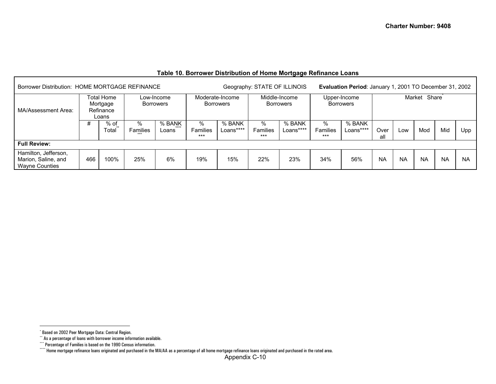#### **Table 10. Borrower Distribution of Home Mortgage Refinance Loans**

<span id="page-31-3"></span><span id="page-31-2"></span><span id="page-31-1"></span><span id="page-31-0"></span>

| Borrower Distribution: HOME MORTGAGE REFINANCE<br>Total Home<br>Low-Income<br>Mortgage<br><b>Borrowers</b><br>Refinance |     |               |                        |                 |                               |                                     | Geography: STATE OF ILLINOIS |                                   |                        | Evaluation Period: January 1, 2001 TO December 31, 2002 |             |           |              |           |           |
|-------------------------------------------------------------------------------------------------------------------------|-----|---------------|------------------------|-----------------|-------------------------------|-------------------------------------|------------------------------|-----------------------------------|------------------------|---------------------------------------------------------|-------------|-----------|--------------|-----------|-----------|
| MA/Assessment Area:                                                                                                     |     | Loans         |                        |                 |                               | Moderate-Income<br><b>Borrowers</b> |                              | Middle-Income<br><b>Borrowers</b> |                        | Upper-Income<br><b>Borrowers</b>                        |             |           | Market Share |           |           |
|                                                                                                                         |     | % of<br>Total | ℅<br>Families<br>$***$ | % BANK<br>Loans | %<br><b>Families</b><br>$***$ | % BANK<br>Loans****                 | %<br>Families<br>$***$       | % BANK<br>Loans****               | %<br>Families<br>$***$ | % BANK<br>Loans****                                     | Over<br>all | Low       | Mod          | Mid       | Upp.      |
| <b>Full Review:</b>                                                                                                     |     |               |                        |                 |                               |                                     |                              |                                   |                        |                                                         |             |           |              |           |           |
| Hamilton, Jefferson,<br>Marion, Saline, and<br><b>Wayne Counties</b>                                                    | 466 | 100%          | 25%                    | 6%              | 19%                           | 15%                                 | 22%                          | 23%                               | 34%                    | 56%                                                     | <b>NA</b>   | <b>NA</b> | <b>NA</b>    | <b>NA</b> | <b>NA</b> |

<sup>\*</sup> Based on 2002 Peer Mortgage Data: Central Region.

<sup>\*\*</sup> As a percentage of loans with borrower income information available.

<sup>\*\*\*</sup> Percentage of Families is based on the 1990 Census information.

<sup>\*\*\*\*</sup> Home mortgage refinance loans originated and purchased in the MA/AA as a percentage of all home mortgage refinance loans originated and purchased in the rated area.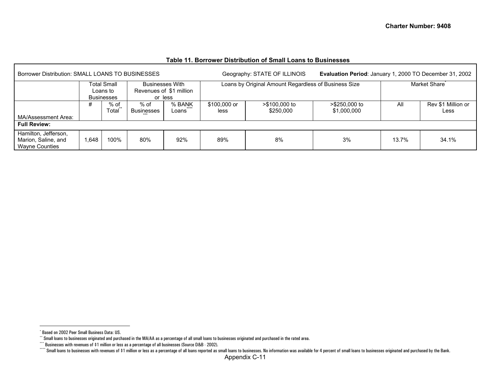<span id="page-32-3"></span><span id="page-32-2"></span><span id="page-32-1"></span><span id="page-32-0"></span>

| Borrower Distribution: SMALL LOANS TO BUSINESSES                     |       |                                              |                    |                                                   |                      | Geography: STATE OF ILLINOIS                         | Evaluation Period: January 1, 2000 TO December 31, 2002 |       |                            |
|----------------------------------------------------------------------|-------|----------------------------------------------|--------------------|---------------------------------------------------|----------------------|------------------------------------------------------|---------------------------------------------------------|-------|----------------------------|
|                                                                      |       | Total Small<br>Loans to<br><b>Businesses</b> | or less            | <b>Businesses With</b><br>Revenues of \$1 million |                      | Loans by Original Amount Regardless of Business Size |                                                         |       | Market Share <sup>®</sup>  |
| MA/Assessment Area:                                                  | #     | % of<br>Total                                | % of<br>Businesses | % BANK<br>Loans                                   | \$100,000 or<br>less | >\$100,000 to<br>\$250,000                           | >\$250,000 to<br>\$1,000,000                            | All   | Rev \$1 Million or<br>Less |
| <b>Full Review:</b>                                                  |       |                                              |                    |                                                   |                      |                                                      |                                                         |       |                            |
| Hamilton, Jefferson,<br>Marion, Saline, and<br><b>Wayne Counties</b> | 1.648 | 100%                                         | 80%                | 92%                                               | 89%                  | 8%                                                   | 3%                                                      | 13.7% | 34.1%                      |

#### **Table 11. Borrower Distribution of Small Loans to Businesses**

<sup>\*</sup> Based on 2002 Peer Small Business Data: US.

\*\* Small loans to businesses originated and purchased in the MA/AA as a percentage of all small loans to businesses originated and purchased in the rated area.

<sup>\*\*\*</sup> Businesses with revenues of \$1 million or less as a percentage of all businesses (Source D&B - 2002).

Examples of the Bank. The Sandy of the Bank and the Sandy Constant of the Bank and the Bank and the Bank and the Bank and the Bank and part of small loans to businesses with revenues of \$1 million or less as a percentage o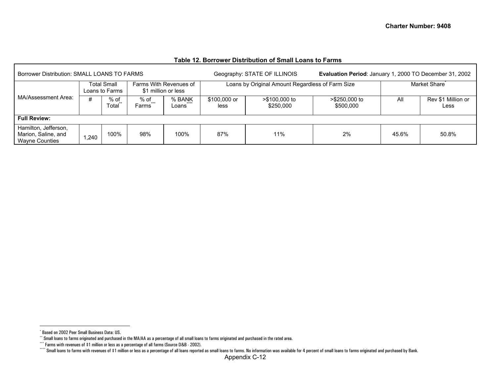<span id="page-33-3"></span><span id="page-33-2"></span><span id="page-33-1"></span><span id="page-33-0"></span>

| Borrower Distribution: SMALL LOANS TO FARMS                          |                               |      |                                               |                 |                      | Geography: STATE OF ILLINOIS                     | Evaluation Period: January 1, 2000 TO December 31, 2002 |              |                            |  |  |  |
|----------------------------------------------------------------------|-------------------------------|------|-----------------------------------------------|-----------------|----------------------|--------------------------------------------------|---------------------------------------------------------|--------------|----------------------------|--|--|--|
| MA/Assessment Area:                                                  | Total Small<br>Loans to Farms |      | Farms With Revenues of<br>\$1 million or less |                 |                      | Loans by Original Amount Regardless of Farm Size |                                                         | Market Share |                            |  |  |  |
|                                                                      | #<br>% of<br>Total            |      | % of<br>$+ + +$<br>Farms                      | % BANK<br>Loans | \$100,000 or<br>less | >\$100,000 to<br>\$250,000                       | >\$250,000 to<br>\$500,000                              | All          | Rev \$1 Million or<br>Less |  |  |  |
| <b>Full Review:</b>                                                  |                               |      |                                               |                 |                      |                                                  |                                                         |              |                            |  |  |  |
| Hamilton, Jefferson,<br>Marion, Saline, and<br><b>Wayne Counties</b> | ,240                          | 100% | 98%                                           | 100%            | 87%                  | 11%                                              | 2%                                                      | 45.6%        | 50.8%                      |  |  |  |

#### **Table 12. Borrower Distribution of Small Loans to Farms**

<sup>\*</sup> Based on 2002 Peer Small Business Data: US.

\*\* Small loans to farms originated and purchased in the MA/AA as a percentage of all small loans to farms originated and purchased in the rated area.

<sup>\*\*\*</sup> Farms with revenues of \$1 million or less as a percentage of all farms (Source D&B - 2002).

<sup>\*\*\*\*</sup> Small loans to farms with revenues of \$1 million or less as a percentage of all loans reported as small loans to farms. No information was available for 4 percent of small loans to farms originated and purchased by Ba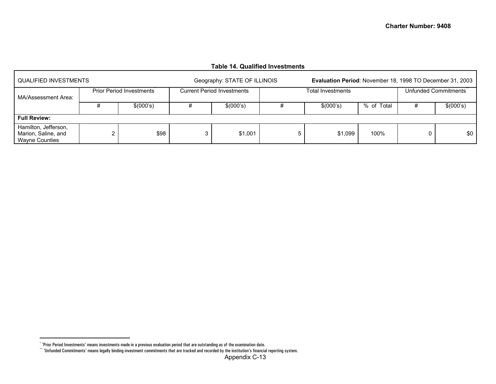#### **Table 14. Qualified Investments**

<span id="page-34-1"></span><span id="page-34-0"></span>

| QUALIFIED INVESTMENTS                                                |   |                          |   | Geography: STATE OF ILLINOIS      |   | <b>Evaluation Period: November 18, 1998 TO December 31, 2003</b> |                      |    |           |  |  |  |
|----------------------------------------------------------------------|---|--------------------------|---|-----------------------------------|---|------------------------------------------------------------------|----------------------|----|-----------|--|--|--|
| MA/Assessment Area:                                                  |   | Prior Period Investments |   | <b>Current Period Investments</b> |   | Total Investments                                                | Unfunded Commitments |    |           |  |  |  |
|                                                                      |   | \$(000's)                |   | \$(000's)                         |   | \$(000's)                                                        | % of Total           | Ŧ. | \$(000's) |  |  |  |
| <b>Full Review:</b>                                                  |   |                          |   |                                   |   |                                                                  |                      |    |           |  |  |  |
| Hamilton, Jefferson,<br>Marion, Saline, and<br><b>Wayne Counties</b> | ⌒ | \$98                     | 3 | \$1,001                           | 5 | \$1,099                                                          | 100%                 |    | \$0       |  |  |  |

<sup>\* &#</sup>x27;Prior Period Investments' means investments made in a previous evaluation period that are outstanding as of the examination date.

 $``$  'Unfunded Commitments' means legally binding investment commitments that are tracked and recorded by the institution's financial reporting system.